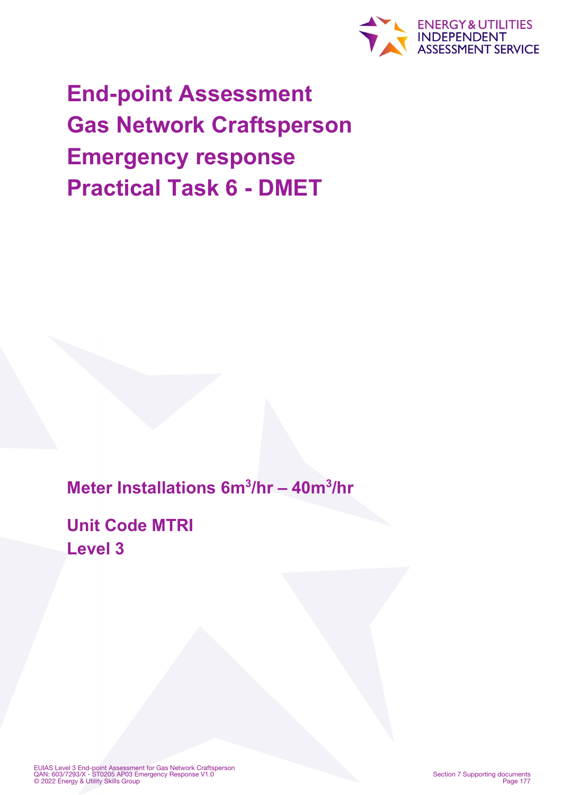

**End-point Assessment Gas Network Craftsperson Emergency response Practical Task 6 - DMET**

**Meter Installations 6m3/hr – 40m3/hr**

**Unit Code MTRI Level 3**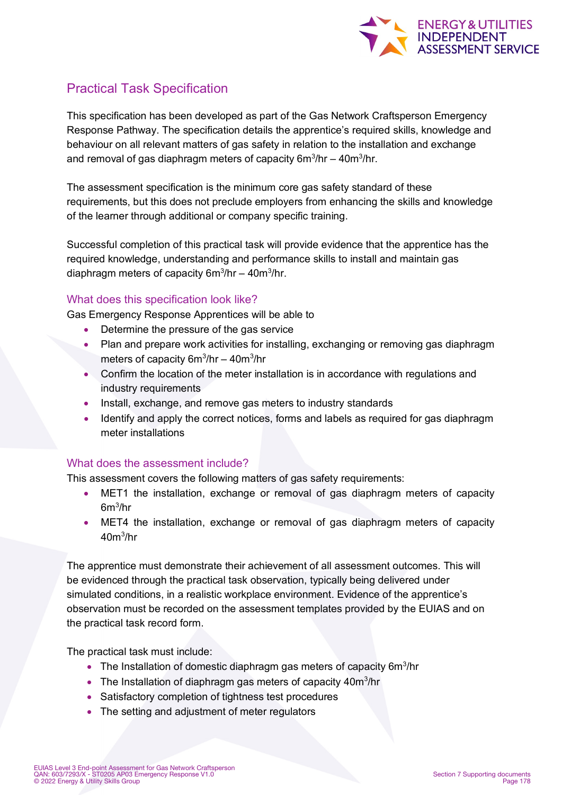

# Practical Task Specification

This specification has been developed as part of the Gas Network Craftsperson Emergency Response Pathway. The specification details the apprentice's required skills, knowledge and behaviour on all relevant matters of gas safety in relation to the installation and exchange and removal of gas diaphragm meters of capacity 6m $\mathrm{^{3}/}$ hr – 40m $\mathrm{^{3}/}$ hr.

The assessment specification is the minimum core gas safety standard of these requirements, but this does not preclude employers from enhancing the skills and knowledge of the learner through additional or company specific training.

Successful completion of this practical task will provide evidence that the apprentice has the required knowledge, understanding and performance skills to install and maintain gas diaphragm meters of capacity 6m<sup>3</sup>/hr – 40m<sup>3</sup>/hr.

#### What does this specification look like?

Gas Emergency Response Apprentices will be able to

- Determine the pressure of the gas service
- Plan and prepare work activities for installing, exchanging or removing gas diaphragm meters of capacity 6m3 /hr – 40m3 /hr
- Confirm the location of the meter installation is in accordance with regulations and industry requirements
- Install, exchange, and remove gas meters to industry standards
- Identify and apply the correct notices, forms and labels as required for gas diaphragm meter installations

### What does the assessment include?

This assessment covers the following matters of gas safety requirements:

- MET1 the installation, exchange or removal of gas diaphragm meters of capacity  $6m^3$ /hr
- MET4 the installation, exchange or removal of gas diaphragm meters of capacity  $40 \text{m}^3\text{/hr}$

The apprentice must demonstrate their achievement of all assessment outcomes. This will be evidenced through the practical task observation, typically being delivered under simulated conditions, in a realistic workplace environment. Evidence of the apprentice's observation must be recorded on the assessment templates provided by the EUIAS and on the practical task record form.

The practical task must include:

- $\bullet$  The Installation of domestic diaphragm gas meters of capacity 6m<sup>3</sup>/hr
- The Installation of diaphragm gas meters of capacity  $40m^3/hr$
- Satisfactory completion of tightness test procedures
- The setting and adjustment of meter regulators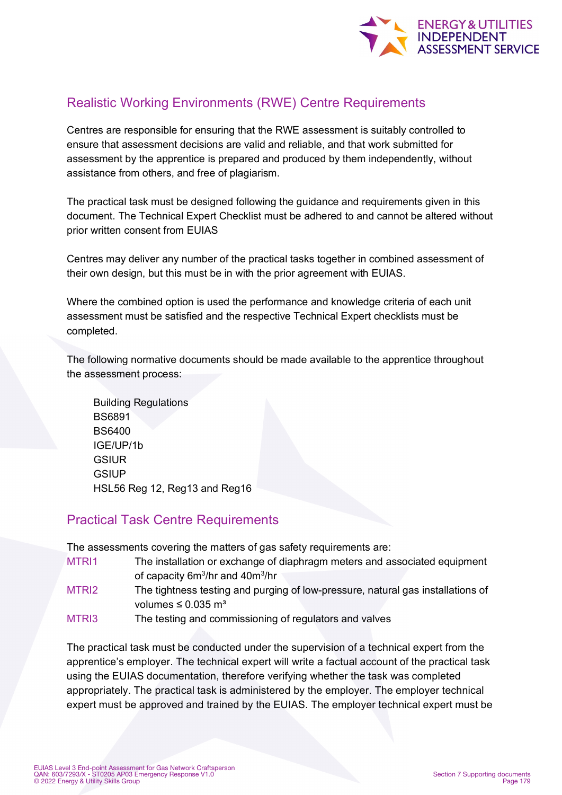

# Realistic Working Environments (RWE) Centre Requirements

Centres are responsible for ensuring that the RWE assessment is suitably controlled to ensure that assessment decisions are valid and reliable, and that work submitted for assessment by the apprentice is prepared and produced by them independently, without assistance from others, and free of plagiarism.

The practical task must be designed following the guidance and requirements given in this document. The Technical Expert Checklist must be adhered to and cannot be altered without prior written consent from EUIAS

Centres may deliver any number of the practical tasks together in combined assessment of their own design, but this must be in with the prior agreement with EUIAS.

Where the combined option is used the performance and knowledge criteria of each unit assessment must be satisfied and the respective Technical Expert checklists must be completed.

The following normative documents should be made available to the apprentice throughout the assessment process:

Building Regulations BS6891 BS6400 IGE/UP/1b **GSIUR GSIUP** HSL56 Reg 12, Reg13 and Reg16

### Practical Task Centre Requirements

The assessments covering the matters of gas safety requirements are:

| MTRI1 | The installation or exchange of diaphragm meters and associated equipment       |
|-------|---------------------------------------------------------------------------------|
|       | of capacity $6m^3$ /hr and $40m^3$ /hr                                          |
| MTRI2 | The tightness testing and purging of low-pressure, natural gas installations of |
|       | volumes $\leq 0.035$ m <sup>3</sup>                                             |

MTRI3 The testing and commissioning of regulators and valves

The practical task must be conducted under the supervision of a technical expert from the apprentice's employer. The technical expert will write a factual account of the practical task using the EUIAS documentation, therefore verifying whether the task was completed appropriately. The practical task is administered by the employer. The employer technical expert must be approved and trained by the EUIAS. The employer technical expert must be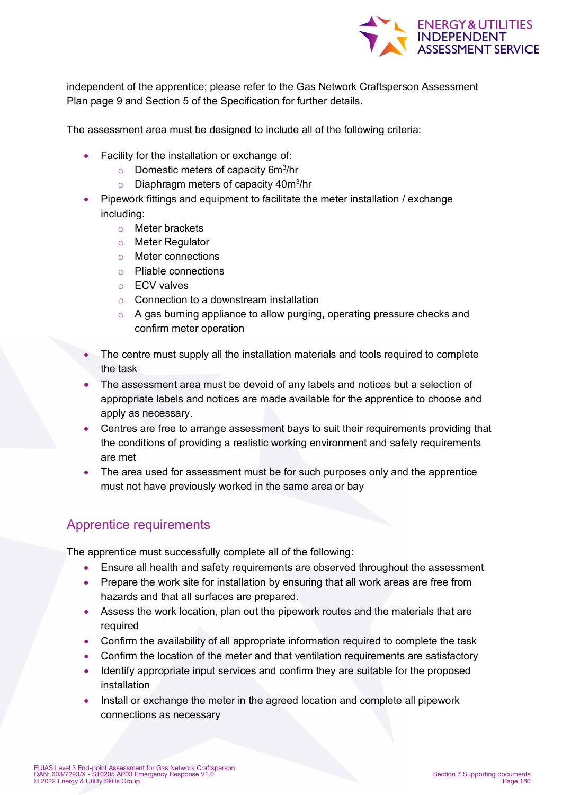

independent of the apprentice; please refer to the Gas Network Craftsperson Assessment Plan page 9 and Section 5 of the Specification for further details.

The assessment area must be designed to include all of the following criteria:

- Facility for the installation or exchange of:
	- $\circ$  Domestic meters of capacity 6m<sup>3</sup>/hr
	- $\circ$  Diaphragm meters of capacity 40m $^3$ /hr
- Pipework fittings and equipment to facilitate the meter installation / exchange including:
	- o Meter brackets
	- o Meter Regulator
	- o Meter connections
	- o Pliable connections
	- o ECV valves
	- o Connection to a downstream installation
	- $\circ$  A gas burning appliance to allow purging, operating pressure checks and confirm meter operation
- The centre must supply all the installation materials and tools required to complete the task
- The assessment area must be devoid of any labels and notices but a selection of appropriate labels and notices are made available for the apprentice to choose and apply as necessary.
- Centres are free to arrange assessment bays to suit their requirements providing that the conditions of providing a realistic working environment and safety requirements are met
- The area used for assessment must be for such purposes only and the apprentice must not have previously worked in the same area or bay

## Apprentice requirements

The apprentice must successfully complete all of the following:

- Ensure all health and safety requirements are observed throughout the assessment
- Prepare the work site for installation by ensuring that all work areas are free from hazards and that all surfaces are prepared.
- Assess the work location, plan out the pipework routes and the materials that are required
- Confirm the availability of all appropriate information required to complete the task
- Confirm the location of the meter and that ventilation requirements are satisfactory
- Identify appropriate input services and confirm they are suitable for the proposed installation
- Install or exchange the meter in the agreed location and complete all pipework connections as necessary